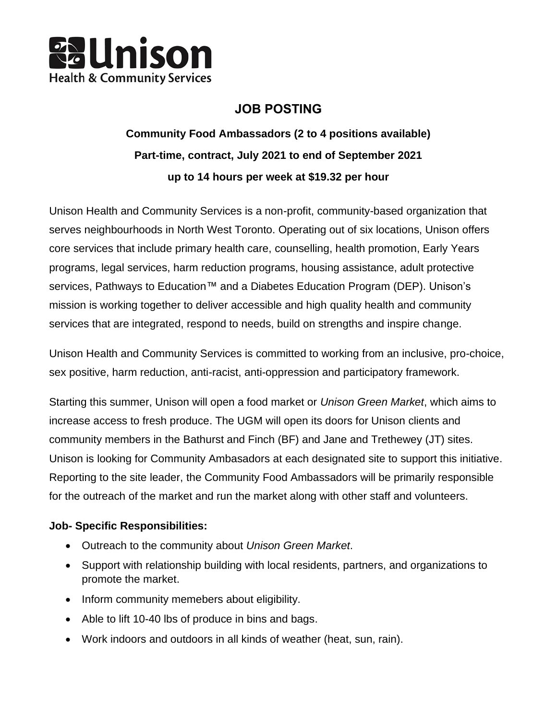

# **JOB POSTING**

# **Community Food Ambassadors (2 to 4 positions available) Part-time, contract, July 2021 to end of September 2021 up to 14 hours per week at \$19.32 per hour**

Unison Health and Community Services is a non-profit, community-based organization that serves neighbourhoods in North West Toronto. Operating out of six locations, Unison offers core services that include primary health care, counselling, health promotion, Early Years programs, legal services, harm reduction programs, housing assistance, adult protective services, Pathways to Education™ and a Diabetes Education Program (DEP). Unison's mission is working together to deliver accessible and high quality health and community services that are integrated, respond to needs, build on strengths and inspire change.

Unison Health and Community Services is committed to working from an inclusive, pro-choice, sex positive, harm reduction, anti-racist, anti-oppression and participatory framework.

Starting this summer, Unison will open a food market or *Unison Green Market*, which aims to increase access to fresh produce. The UGM will open its doors for Unison clients and community members in the Bathurst and Finch (BF) and Jane and Trethewey (JT) sites. Unison is looking for Community Ambasadors at each designated site to support this initiative. Reporting to the site leader, the Community Food Ambassadors will be primarily responsible for the outreach of the market and run the market along with other staff and volunteers.

#### **Job- Specific Responsibilities:**

- Outreach to the community about *Unison Green Market*.
- Support with relationship building with local residents, partners, and organizations to promote the market.
- Inform community memebers about eligibility.
- Able to lift 10-40 lbs of produce in bins and bags.
- Work indoors and outdoors in all kinds of weather (heat, sun, rain).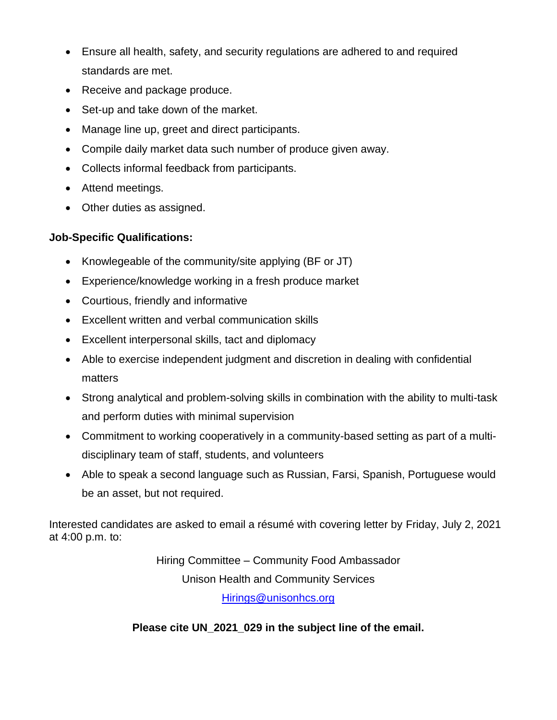- Ensure all health, safety, and security regulations are adhered to and required standards are met.
- Receive and package produce.
- Set-up and take down of the market.
- Manage line up, greet and direct participants.
- Compile daily market data such number of produce given away.
- Collects informal feedback from participants.
- Attend meetings.
- Other duties as assigned.

## **Job-Specific Qualifications:**

- Knowlegeable of the community/site applying (BF or JT)
- Experience/knowledge working in a fresh produce market
- Courtious, friendly and informative
- Excellent written and verbal communication skills
- Excellent interpersonal skills, tact and diplomacy
- Able to exercise independent judgment and discretion in dealing with confidential matters
- Strong analytical and problem-solving skills in combination with the ability to multi-task and perform duties with minimal supervision
- Commitment to working cooperatively in a community-based setting as part of a multidisciplinary team of staff, students, and volunteers
- Able to speak a second language such as Russian, Farsi, Spanish, Portuguese would be an asset, but not required.

Interested candidates are asked to email a résumé with covering letter by Friday, July 2, 2021 at 4:00 p.m. to:

Hiring Committee – Community Food Ambassador

Unison Health and Community Services

[Hirings@unisonhcs.org](mailto:Hirings@unisonhcs.org)

## **Please cite UN\_2021\_029 in the subject line of the email.**